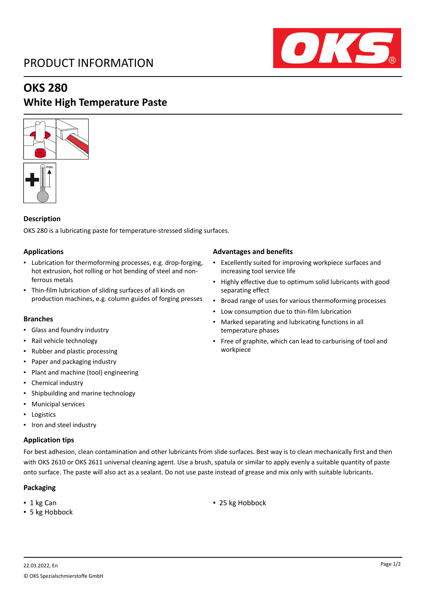# PRODUCT INFORMATION



## **OKS 280**

### **White High Temperature Paste**



### **Description**

OKS 280 is a lubricating paste for temperature-stressed sliding surfaces.

#### **Applications**

- Lubrication for thermoforming processes, e.g. drop-forging, hot extrusion, hot rolling or hot bending of steel and nonferrous metals
- Thin-film lubrication of sliding surfaces of all kinds on production machines, e.g. column guides of forging presses

#### **Branches**

- Glass and foundry industry
- Rail vehicle technology
- Rubber and plastic processing
- Paper and packaging industry
- Plant and machine (tool) engineering
- Chemical industry
- Shipbuilding and marine technology
- Municipal services
- Logistics
- Iron and steel industry

#### **Application tips**

For best adhesion, clean contamination and other lubricants from slide surfaces. Best way is to clean mechanically first and then with OKS 2610 or OKS 2611 universal cleaning agent. Use a brush, spatula or similar to apply evenly a suitable quantity of paste onto surface. The paste will also act as a sealant. Do not use paste instead of grease and mix only with suitable lubricants.

#### **Packaging**

- 
- 5 kg Hobbock

#### **Advantages and benefits**

- Excellently suited for improving workpiece surfaces and increasing tool service life
- Highly effective due to optimum solid lubricants with good separating effect
- Broad range of uses for various thermoforming processes
- Low consumption due to thin-film lubrication
- Marked separating and lubricating functions in all temperature phases
- **·** Free of graphite, which can lead to carburising of tool and workpiece

■ 1 kg Can **■** 25 kg Hobbock